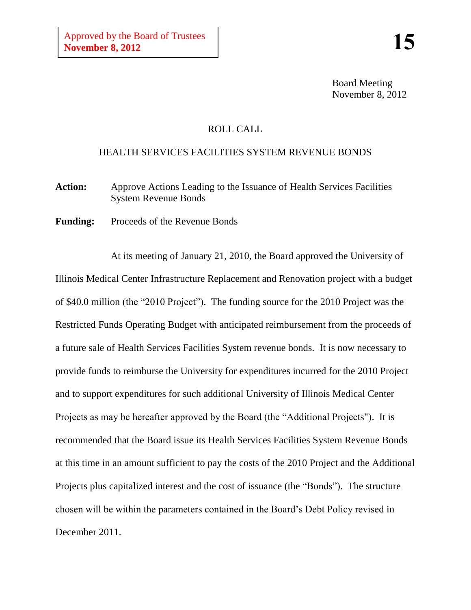Board Meeting November 8, 2012

## ROLL CALL

## HEALTH SERVICES FACILITIES SYSTEM REVENUE BONDS

- **Action:** Approve Actions Leading to the Issuance of Health Services Facilities System Revenue Bonds
- Funding: Proceeds of the Revenue Bonds

At its meeting of January 21, 2010, the Board approved the University of Illinois Medical Center Infrastructure Replacement and Renovation project with a budget of \$40.0 million (the "2010 Project"). The funding source for the 2010 Project was the Restricted Funds Operating Budget with anticipated reimbursement from the proceeds of a future sale of Health Services Facilities System revenue bonds. It is now necessary to provide funds to reimburse the University for expenditures incurred for the 2010 Project and to support expenditures for such additional University of Illinois Medical Center Projects as may be hereafter approved by the Board (the "Additional Projects"). It is recommended that the Board issue its Health Services Facilities System Revenue Bonds at this time in an amount sufficient to pay the costs of the 2010 Project and the Additional Projects plus capitalized interest and the cost of issuance (the "Bonds"). The structure chosen will be within the parameters contained in the Board's Debt Policy revised in December 2011.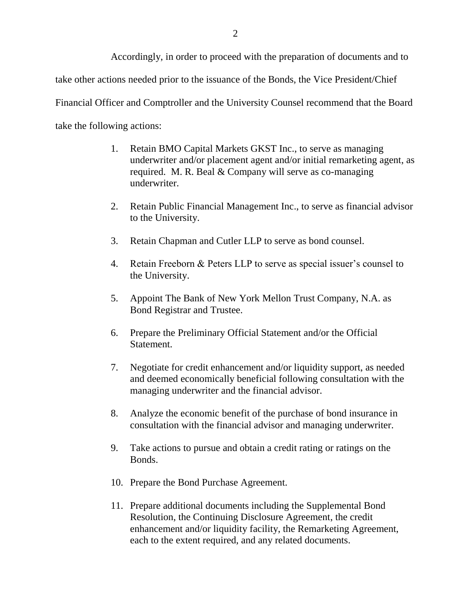Accordingly, in order to proceed with the preparation of documents and to take other actions needed prior to the issuance of the Bonds, the Vice President/Chief Financial Officer and Comptroller and the University Counsel recommend that the Board take the following actions:

- 1. Retain BMO Capital Markets GKST Inc., to serve as managing underwriter and/or placement agent and/or initial remarketing agent, as required. M. R. Beal & Company will serve as co-managing underwriter.
- 2. Retain Public Financial Management Inc., to serve as financial advisor to the University.
- 3. Retain Chapman and Cutler LLP to serve as bond counsel.
- 4. Retain Freeborn & Peters LLP to serve as special issuer's counsel to the University.
- 5. Appoint The Bank of New York Mellon Trust Company, N.A. as Bond Registrar and Trustee.
- 6. Prepare the Preliminary Official Statement and/or the Official Statement.
- 7. Negotiate for credit enhancement and/or liquidity support, as needed and deemed economically beneficial following consultation with the managing underwriter and the financial advisor.
- 8. Analyze the economic benefit of the purchase of bond insurance in consultation with the financial advisor and managing underwriter.
- 9. Take actions to pursue and obtain a credit rating or ratings on the Bonds.
- 10. Prepare the Bond Purchase Agreement.
- 11. Prepare additional documents including the Supplemental Bond Resolution, the Continuing Disclosure Agreement, the credit enhancement and/or liquidity facility, the Remarketing Agreement, each to the extent required, and any related documents.